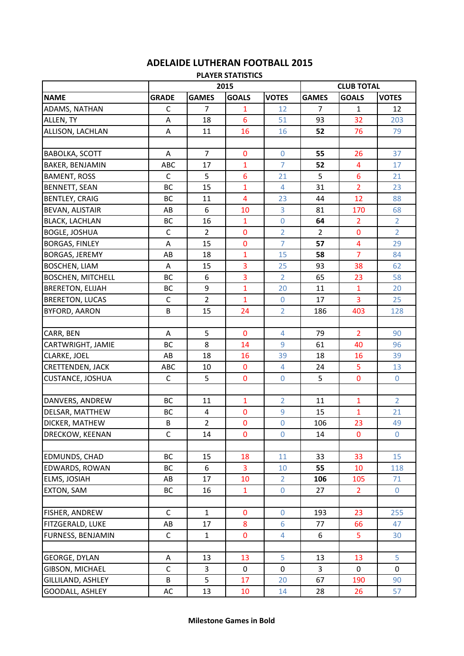| <b>PLAYER STATISTICS</b> |              |                |                |                  |                   |                         |                |  |  |
|--------------------------|--------------|----------------|----------------|------------------|-------------------|-------------------------|----------------|--|--|
|                          | 2015         |                |                |                  | <b>CLUB TOTAL</b> |                         |                |  |  |
| <b>NAME</b>              | <b>GRADE</b> | <b>GAMES</b>   | <b>GOALS</b>   | <b>VOTES</b>     | <b>GAMES</b>      | <b>GOALS</b>            | <b>VOTES</b>   |  |  |
| ADAMS, NATHAN            | C            | $\overline{7}$ | 1              | 12               | $\overline{7}$    | $\mathbf{1}$            | 12             |  |  |
| ALLEN, TY                | A            | 18             | 6              | 51               | 93                | 32                      | 203            |  |  |
| ALLISON, LACHLAN         | A            | 11             | 16             | 16               | 52                | 76                      | 79             |  |  |
|                          |              |                |                |                  |                   |                         |                |  |  |
| <b>BABOLKA, SCOTT</b>    | A            | $\overline{7}$ | $\bf{0}$       | $\mathbf 0$      | 55                | 26                      | 37             |  |  |
| <b>BAKER, BENJAMIN</b>   | ABC          | 17             | $\mathbf{1}$   | $\overline{7}$   | 52                | $\overline{4}$          | 17             |  |  |
| <b>BAMENT, ROSS</b>      | $\mathsf C$  | 5              | 6              | 21               | 5                 | $6\phantom{1}$          | 21             |  |  |
| <b>BENNETT, SEAN</b>     | <b>BC</b>    | 15             | $\mathbf{1}$   | 4                | 31                | $\overline{2}$          | 23             |  |  |
| <b>BENTLEY, CRAIG</b>    | BC           | 11             | 4              | 23               | 44                | 12                      | 88             |  |  |
| <b>BEVAN, ALISTAIR</b>   | AB           | 6              | 10             | 3                | 81                | 170                     | 68             |  |  |
| <b>BLACK, LACHLAN</b>    | <b>BC</b>    | 16             | $\mathbf{1}$   | $\overline{0}$   | 64                | $\overline{2}$          | $\overline{2}$ |  |  |
| <b>BOGLE, JOSHUA</b>     | $\mathsf C$  | $\overline{2}$ | $\bf{0}$       | $\overline{2}$   | $\overline{2}$    | $\mathbf 0$             | $\overline{2}$ |  |  |
| <b>BORGAS, FINLEY</b>    | A            | 15             | $\bf{0}$       | $\overline{7}$   | 57                | $\overline{\mathbf{4}}$ | 29             |  |  |
| <b>BORGAS, JEREMY</b>    | AB           | 18             | $\mathbf{1}$   | 15               | 58                | $\overline{7}$          | 84             |  |  |
| <b>BOSCHEN, LIAM</b>     | A            | 15             | 3              | 25               | 93                | 38                      | 62             |  |  |
| <b>BOSCHEN, MITCHELL</b> | <b>BC</b>    | 6              | 3              | $\overline{2}$   | 65                | 23                      | 58             |  |  |
| <b>BRERETON, ELIJAH</b>  | BC           | 9              | $\overline{1}$ | 20               | 11                | $\mathbf{1}$            | 20             |  |  |
| <b>BRERETON, LUCAS</b>   | $\mathsf{C}$ | $\overline{2}$ | $\mathbf{1}$   | $\mathbf 0$      | 17                | 3                       | 25             |  |  |
| <b>BYFORD, AARON</b>     | B            | 15             | 24             | $\overline{2}$   | 186               | 403                     | 128            |  |  |
|                          |              |                |                |                  |                   |                         |                |  |  |
| CARR, BEN                | A            | 5              | $\mathbf 0$    | $\overline{4}$   | 79                | $\overline{2}$          | 90             |  |  |
| CARTWRIGHT, JAMIE        | BC           | 8              | 14             | 9                | 61                | 40                      | 96             |  |  |
| <b>CLARKE, JOEL</b>      | AB           | 18             | 16             | 39               | 18                | 16                      | 39             |  |  |
| <b>CRETTENDEN, JACK</b>  | ABC          | 10             | $\mathbf 0$    | $\overline{4}$   | 24                | 5                       | 13             |  |  |
| <b>CUSTANCE, JOSHUA</b>  | C            | 5              | $\bf{0}$       | $\mathbf 0$      | 5                 | $\mathbf 0$             | $\overline{0}$ |  |  |
|                          |              |                |                |                  |                   |                         |                |  |  |
| DANVERS, ANDREW          | BC           | 11             | $\mathbf{1}$   | $\overline{2}$   | 11                | $\mathbf{1}$            | $\overline{2}$ |  |  |
| DELSAR, MATTHEW          | BC           | $\overline{4}$ | $\bf{0}$       | 9                | 15                | $\mathbf{1}$            | 21             |  |  |
| DICKER, MATHEW           | B            | $\overline{2}$ | $\pmb{0}$      | $\boldsymbol{0}$ | 106               | 23                      | 49             |  |  |
| <b>DRECKOW, KEENAN</b>   | C            | 14             | 0              | $\mathbf 0$      | 14                | $\Omega$                | 0              |  |  |
|                          |              |                |                |                  |                   |                         |                |  |  |
| <b>EDMUNDS, CHAD</b>     | BC           | 15             | 18             | 11               | 33                | 33                      | 15             |  |  |
| EDWARDS, ROWAN           | ВC           | 6              | 3              | 10               | 55                | 10                      | 118            |  |  |
| ELMS, JOSIAH             | AB           | 17             | 10             | $\overline{2}$   | 106               | 105                     | 71             |  |  |
| <b>EXTON, SAM</b>        | ВC           | 16             | $\mathbf{1}$   | $\mathbf 0$      | 27                | $\overline{2}$          | $\overline{0}$ |  |  |
|                          |              |                |                |                  |                   |                         |                |  |  |
| <b>FISHER, ANDREW</b>    | $\mathsf C$  | $\mathbf{1}$   | $\bf{0}$       | $\mathbf 0$      | 193               | 23                      | 255            |  |  |
| <b>FITZGERALD, LUKE</b>  | AB           | 17             | 8              | $6\phantom{a}$   | 77                | 66                      | 47             |  |  |
| <b>FURNESS, BENJAMIN</b> | $\mathsf{C}$ | $\mathbf{1}$   | $\pmb{0}$      | 4                | 6                 | 5                       | 30             |  |  |
|                          |              |                |                |                  |                   |                         |                |  |  |
| <b>GEORGE, DYLAN</b>     | A            | 13             | 13             | 5                | 13                | 13                      | 5              |  |  |
| GIBSON, MICHAEL          | $\mathsf C$  | 3              | $\mathbf 0$    | $\mathbf 0$      | 3                 | $\mathbf 0$             | $\mathbf 0$    |  |  |
| GILLILAND, ASHLEY        | B            | 5              | 17             | 20               | 67                | 190                     | 90             |  |  |
| GOODALL, ASHLEY          | AC           | 13             | 10             | 14               | 28                | 26                      | 57             |  |  |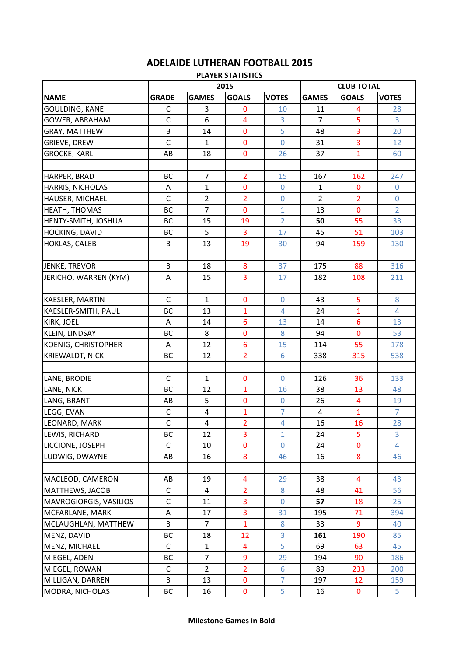| <b>PLAYER STATISTICS</b>   |              |                         |                         |                  |                   |                         |                |  |  |
|----------------------------|--------------|-------------------------|-------------------------|------------------|-------------------|-------------------------|----------------|--|--|
|                            |              |                         | 2015                    |                  | <b>CLUB TOTAL</b> |                         |                |  |  |
| <b>NAME</b>                | <b>GRADE</b> | <b>GAMES</b>            | <b>GOALS</b>            | <b>VOTES</b>     | <b>GAMES</b>      | <b>GOALS</b>            | <b>VOTES</b>   |  |  |
| <b>GOULDING, KANE</b>      | $\mathsf C$  | 3                       | $\mathbf 0$             | 10               | 11                | 4                       | 28             |  |  |
| <b>GOWER, ABRAHAM</b>      | $\mathsf{C}$ | 6                       | $\overline{\mathbf{4}}$ | 3                | $\overline{7}$    | 5                       | 3              |  |  |
| <b>GRAY, MATTHEW</b>       | B            | 14                      | $\mathbf 0$             | 5                | 48                | 3                       | 20             |  |  |
| <b>GRIEVE, DREW</b>        | $\mathsf{C}$ | $\mathbf{1}$            | $\mathbf 0$             | 0                | 31                | 3                       | 12             |  |  |
| <b>GROCKE, KARL</b>        | AB           | 18                      | $\bf{0}$                | 26               | 37                | $\mathbf{1}$            | 60             |  |  |
|                            |              |                         |                         |                  |                   |                         |                |  |  |
| HARPER, BRAD               | BC           | 7                       | $\overline{2}$          | 15               | 167               | 162                     | 247            |  |  |
| HARRIS, NICHOLAS           | A            | $\mathbf{1}$            | $\bf{0}$                | $\mathbf 0$      | $\mathbf{1}$      | $\bf{0}$                | $\mathbf 0$    |  |  |
| HAUSER, MICHAEL            | $\mathsf{C}$ | $\overline{2}$          | $\overline{2}$          | $\boldsymbol{0}$ | $\overline{2}$    | $\overline{2}$          | $\mathbf 0$    |  |  |
| <b>HEATH, THOMAS</b>       | BC           | $\overline{7}$          | $\bf{0}$                | $\mathbf{1}$     | 13                | $\mathbf 0$             | $\overline{2}$ |  |  |
| HENTY-SMITH, JOSHUA        | <b>BC</b>    | 15                      | 19                      | $\overline{2}$   | 50                | 55                      | 33             |  |  |
| <b>HOCKING, DAVID</b>      | BC           | 5                       | 3                       | 17               | 45                | 51                      | 103            |  |  |
| <b>HOKLAS, CALEB</b>       | B            | 13                      | 19                      | 30               | 94                | 159                     | 130            |  |  |
|                            |              |                         |                         |                  |                   |                         |                |  |  |
| <b>JENKE, TREVOR</b>       | B            | 18                      | 8                       | 37               | 175               | 88                      | 316            |  |  |
| JERICHO, WARREN (KYM)      | Α            | 15                      | $\overline{3}$          | 17               | 182               | 108                     | 211            |  |  |
|                            |              |                         |                         |                  |                   |                         |                |  |  |
| KAESLER, MARTIN            | $\mathsf{C}$ | $\mathbf{1}$            | $\bf{0}$                | $\mathbf 0$      | 43                | 5                       | 8              |  |  |
| KAESLER-SMITH, PAUL        | <b>BC</b>    | 13                      | 1                       | $\overline{4}$   | 24                | $\overline{1}$          | $\overline{4}$ |  |  |
| <b>KIRK, JOEL</b>          | Α            | 14                      | 6                       | 13               | 14                | $6\phantom{1}6$         | 13             |  |  |
| <b>KLEIN, LINDSAY</b>      | <b>BC</b>    | 8                       | $\mathbf 0$             | 8                | 94                | $\mathbf 0$             | 53             |  |  |
| <b>KOENIG, CHRISTOPHER</b> | Α            | 12                      | $6\phantom{1}6$         | 15               | 114               | 55                      | 178            |  |  |
| <b>KRIEWALDT, NICK</b>     | BC           | 12                      | $\overline{2}$          | $6\phantom{a}$   | 338               | 315                     | 538            |  |  |
|                            |              |                         |                         |                  |                   |                         |                |  |  |
| LANE, BRODIE               | C            | $\mathbf{1}$            | $\bf{0}$                | 0                | 126               | 36                      | 133            |  |  |
| LANE, NICK                 | <b>BC</b>    | 12                      | 1                       | 16               | 38                | 13                      | 48             |  |  |
| LANG, BRANT                | AB           | 5                       | 0                       | $\boldsymbol{0}$ | 26                | $\overline{\mathbf{4}}$ | 19             |  |  |
| LEGG, EVAN                 | $\mathsf C$  | $\overline{\mathbf{4}}$ | $\mathbf{1}$            | $\overline{7}$   | 4                 | $\mathbf{1}$            | $\overline{7}$ |  |  |
| LEONARD, MARK              | $\mathsf C$  | 4                       | $\overline{2}$          | 4                | 16                | 16                      | 28             |  |  |
| LEWIS, RICHARD             | BC           | 12                      | 3                       | $\mathbf{1}$     | 24                | 5                       | 3              |  |  |
| LICCIONE, JOSEPH           | $\mathsf{C}$ | 10                      | $\bf{0}$                | $\overline{0}$   | 24                | $\mathbf 0$             | $\overline{4}$ |  |  |
| LUDWIG, DWAYNE             | AB           | 16                      | 8                       | 46               | 16                | 8                       | 46             |  |  |
|                            |              |                         |                         |                  |                   |                         |                |  |  |
| MACLEOD, CAMERON           | AB           | 19                      | $\overline{4}$          | 29               | 38                | $\overline{4}$          | 43             |  |  |
| MATTHEWS, JACOB            | C            | 4                       | $\overline{2}$          | 8                | 48                | 41                      | 56             |  |  |
| MAVROGIORGIS, VASILIOS     | $\mathsf C$  | 11                      | 3                       | $\mathbf 0$      | 57                | 18                      | 25             |  |  |
| MCFARLANE, MARK            | A            | 17                      | 3                       | 31               | 195               | 71                      | 394            |  |  |
| MCLAUGHLAN, MATTHEW        | B            | $\overline{7}$          | $\mathbf{1}$            | 8                | 33                | 9                       | 40             |  |  |
| MENZ, DAVID                | BC           | 18                      | 12                      | 3                | 161               | 190                     | 85             |  |  |
| MENZ, MICHAEL              | C            | $\mathbf{1}$            | 4                       | 5                | 69                | 63                      | 45             |  |  |
| MIEGEL, ADEN               | BC           | $\overline{7}$          | 9                       | 29               | 194               | 90                      | 186            |  |  |
| MIEGEL, ROWAN              | $\mathsf C$  | $\overline{2}$          | $\overline{2}$          | 6                | 89                | 233                     | 200            |  |  |
| MILLIGAN, DARREN           | B            | 13                      | $\mathbf 0$             | $\overline{7}$   | 197               | 12                      | 159            |  |  |
| MODRA, NICHOLAS            | BC           | 16                      | $\pmb{0}$               | 5                | 16                | $\bf{0}$                | 5              |  |  |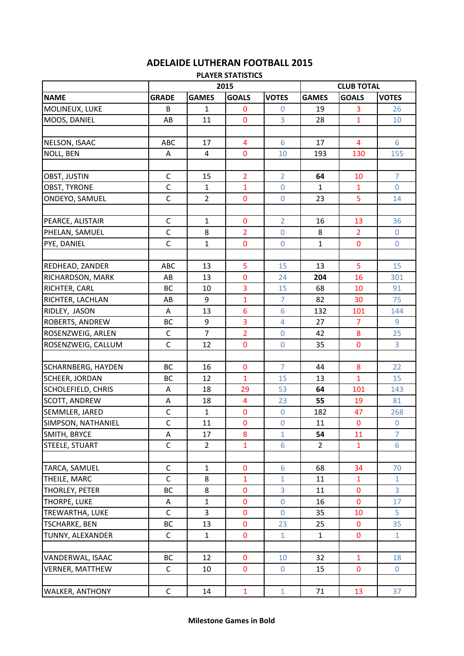|                       |              |                | <b>PLAYER STATISTICS</b> |                  |                |                   |                |  |  |
|-----------------------|--------------|----------------|--------------------------|------------------|----------------|-------------------|----------------|--|--|
|                       |              | 2015           |                          |                  |                | <b>CLUB TOTAL</b> |                |  |  |
| <b>NAME</b>           | <b>GRADE</b> | <b>GAMES</b>   | <b>GOALS</b>             | <b>VOTES</b>     | <b>GAMES</b>   | <b>GOALS</b>      | <b>VOTES</b>   |  |  |
| MOLINEUX, LUKE        | B            | $\mathbf{1}$   | 0                        | $\overline{0}$   | 19             | 3                 | 26             |  |  |
| MOOS, DANIEL          | AB           | 11             | 0                        | 3                | 28             | $\mathbf{1}$      | 10             |  |  |
|                       |              |                |                          |                  |                |                   |                |  |  |
| NELSON, ISAAC         | ABC          | 17             | 4                        | 6                | 17             | $\overline{4}$    | 6              |  |  |
| <b>NOLL, BEN</b>      | Α            | 4              | $\bf{0}$                 | 10               | 193            | 130               | 155            |  |  |
|                       |              |                |                          |                  |                |                   |                |  |  |
| OBST, JUSTIN          | $\mathsf{C}$ | 15             | $\overline{2}$           | $\overline{2}$   | 64             | 10                | $\overline{7}$ |  |  |
| <b>OBST, TYRONE</b>   | $\mathsf C$  | 1              | $\mathbf{1}$             | $\mathbf{0}$     | 1              | 1                 | $\mathbf{0}$   |  |  |
| ONDEYO, SAMUEL        | $\mathsf{C}$ | $\overline{2}$ | $\bf{0}$                 | $\mathbf 0$      | 23             | 5                 | 14             |  |  |
|                       |              |                |                          |                  |                |                   |                |  |  |
| PEARCE, ALISTAIR      | C            | $\mathbf{1}$   | $\bf{0}$                 | $\overline{2}$   | 16             | 13                | 36             |  |  |
| PHELAN, SAMUEL        | $\mathsf{C}$ | 8              | $\overline{2}$           | $\overline{0}$   | 8              | $\overline{2}$    | 0              |  |  |
| PYE, DANIEL           | $\mathsf C$  | 1              | 0                        | $\mathbf 0$      | 1              | 0                 | 0              |  |  |
|                       |              |                |                          |                  |                |                   |                |  |  |
| REDHEAD, ZANDER       | ABC          | 13             | 5                        | 15               | 13             | 5                 | 15             |  |  |
| RICHARDSON, MARK      | AB           | 13             | $\mathbf 0$              | 24               | 204            | 16                | 301            |  |  |
| RICHTER, CARL         | BC           | 10             | 3                        | 15               | 68             | 10                | 91             |  |  |
| RICHTER, LACHLAN      | AB           | 9              | $\mathbf{1}$             | 7                | 82             | 30                | 75             |  |  |
| RIDLEY, JASON         | Α            | 13             | 6                        | 6                | 132            | 101               | 144            |  |  |
| ROBERTS, ANDREW       | BC           | 9              | 3                        | $\overline{4}$   | 27             | $\overline{7}$    | 9              |  |  |
| ROSENZWEIG, ARLEN     | $\mathsf C$  | $\overline{7}$ | $\overline{2}$           | $\boldsymbol{0}$ | 42             | 8                 | 25             |  |  |
| ROSENZWEIG, CALLUM    | $\mathsf{C}$ | 12             | $\overline{0}$           | $\overline{0}$   | 35             | $\mathbf 0$       | 3              |  |  |
|                       |              |                |                          |                  |                |                   |                |  |  |
| SCHARNBERG, HAYDEN    | <b>BC</b>    | 16             | $\bf{0}$                 | $\overline{7}$   | 44             | 8                 | 22             |  |  |
| <b>SCHEER, JORDAN</b> | BC           | 12             | $\mathbf{1}$             | 15               | 13             | $\mathbf{1}$      | 15             |  |  |
| SCHOLEFIELD, CHRIS    | A            | 18             | 29                       | 53               | 64             | 101               | 143            |  |  |
| <b>SCOTT, ANDREW</b>  | Α            | 18             | 4                        | 23               | 55             | 19                | 81             |  |  |
| SEMMLER, JARED        | $\mathsf C$  | $\mathbf{1}$   | $\bf{0}$                 | $\mathbf 0$      | 182            | 47                | 268            |  |  |
| SIMPSON, NATHANIEL    | $\mathsf C$  | 11             | $\bf{0}$                 | 0                | 11             | $\mathbf{0}$      | $\pmb{0}$      |  |  |
| SMITH, BRYCE          | A            | 17             | 8                        | $\mathbf{1}$     | 54             | 11                | $\overline{7}$ |  |  |
| STEELE, STUART        | $\mathsf{C}$ | $\overline{2}$ | $\mathbf{1}$             | 6                | $\overline{2}$ | $\mathbf{1}$      | 6              |  |  |
|                       |              |                |                          |                  |                |                   |                |  |  |
| TARCA, SAMUEL         | C            | 1              | $\bf{0}$                 | 6                | 68             | 34                | 70             |  |  |
| THEILE, MARC          | $\mathsf{C}$ | 8              | $\mathbf{1}$             | $\mathbf{1}$     | 11             | $\mathbf{1}$      | $\mathbf{1}$   |  |  |
| THORLEY, PETER        | ВC           | 8              | $\pmb{0}$                | 3                | 11             | $\pmb{0}$         | 3              |  |  |
| THORPE, LUKE          | A            | 1              | $\bf{0}$                 | 0                | 16             | $\bf{0}$          | 17             |  |  |
| TREWARTHA, LUKE       | $\mathsf{C}$ | 3              | 0                        | $\mathbf 0$      | 35             | 10                | 5              |  |  |
| <b>TSCHARKE, BEN</b>  | ВC           | 13             | 0                        | 23               | 25             | 0                 | 35             |  |  |
| TUNNY, ALEXANDER      | $\mathsf{C}$ | $\mathbf{1}$   | $\mathbf 0$              | $\mathbf{1}$     | $\mathbf{1}$   | $\mathbf 0$       | $\mathbf{1}$   |  |  |
|                       |              |                |                          |                  |                |                   |                |  |  |
| VANDERWAL, ISAAC      | ВC           | 12             | $\pmb{0}$                | 10               | 32             | $\mathbf{1}$      | 18             |  |  |

VERNER, MATTHEW C 10 0 0 15 0 0

WALKER, ANTHONY | C | 14 | 1 | 1 | 71 | 13 | 37